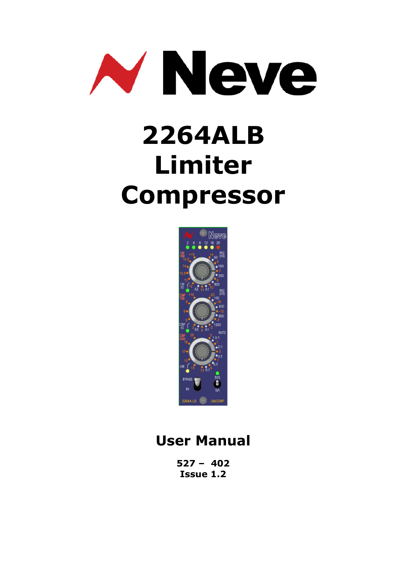

# **2264ALB Limiter Compressor**



## **User Manual**

**527 – 402 Issue 1.2**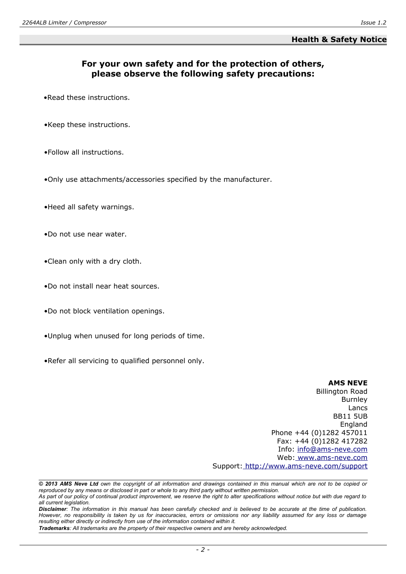#### **Health & Safety Notice**

#### **For your own safety and for the protection of others, please observe the following safety precautions:**

- •Read these instructions.
- •Keep these instructions.
- •Follow all instructions.
- •Only use attachments/accessories specified by the manufacturer.
- •Heed all safety warnings.
- •Do not use near water.
- •Clean only with a dry cloth.
- •Do not install near heat sources.
- •Do not block ventilation openings.
- •Unplug when unused for long periods of time.
- •Refer all servicing to qualified personnel only.

#### **AMS NEVE**

Billington Road Burnley Lancs BB11 5UB England Phone +44 (0)1282 457011 Fax: +44 (0)1282 417282 Info: [info@ams-neve.com](mailto:info@ams-neve.com) Web: [www.ams-neve.com](http://www.ams-neve.com/) Support: [http://www.ams-neve. c](http://www.ams-neve.info/crm/fault_report.html)om/support

*Trademarks: All trademarks are the property of their respective owners and are hereby acknowledged.*

*<sup>© 2013</sup> AMS Neve Ltd own the copyright of all information and drawings contained in this manual which are not to be copied or reproduced by any means or disclosed in part or whole to any third party without written permission. As part of our policy of continual product improvement, we reserve the right to alter specifications without notice but with due regard to*

*all current legislation. Disclaimer: The information in this manual has been carefully checked and is believed to be accurate at the time of publication. However, no responsibility is taken by us for inaccuracies, errors or omissions nor any liability assumed for any loss or damage resulting either directly or indirectly from use of the information contained within it.*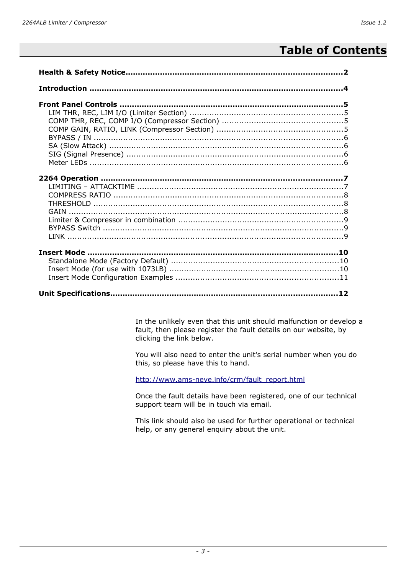## **Table of Contents**

In the unlikely even that this unit should malfunction or develop a fault, then please register the fault details on our website, by clicking the link below.

You will also need to enter the unit's serial number when you do this, so please have this to hand.

[http://www.ams-neve.info/crm/fault\\_report.html](http://www.ams-neve.info/crm/fault_report.html)

Once the fault details have been registered, one of our technical support team will be in touch via email.

This link should also be used for further operational or technical help, or any general enquiry about the unit.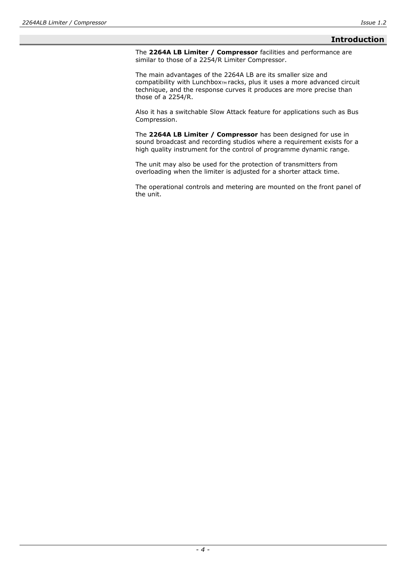#### **Introduction**

The **2264A LB Limiter / Compressor** facilities and performance are similar to those of a 2254/R Limiter Compressor.

The main advantages of the 2264A LB are its smaller size and compatibility with Lunchbox<sub>™</sub> racks, plus it uses a more advanced circuit technique, and the response curves it produces are more precise than those of a 2254/R.

Also it has a switchable Slow Attack feature for applications such as Bus Compression.

The **2264A LB Limiter / Compressor** has been designed for use in sound broadcast and recording studios where a requirement exists for a high quality instrument for the control of programme dynamic range.

The unit may also be used for the protection of transmitters from overloading when the limiter is adjusted for a shorter attack time.

The operational controls and metering are mounted on the front panel of the unit.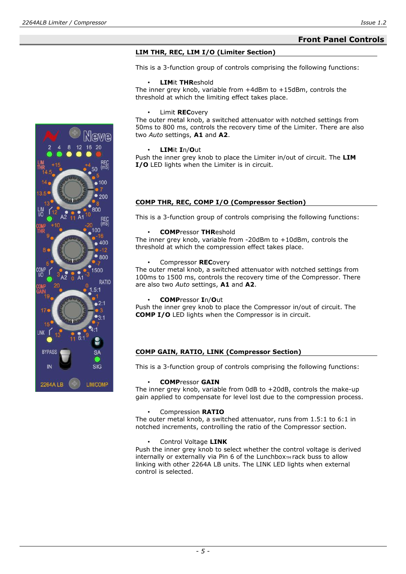#### **Front Panel Controls**

#### **LIM THR, REC, LIM I/O (Limiter Section)**

This is a 3-function group of controls comprising the following functions:

#### • **LIM**it **THR**eshold

The inner grey knob, variable from +4dBm to +15dBm, controls the threshold at which the limiting effect takes place.

#### • Limit **REC**overy

The outer metal knob, a switched attenuator with notched settings from 50ms to 800 ms, controls the recovery time of the Limiter. There are also two *Auto* settings, **A1** and **A2**.

#### • **LIM**it **I**n/**O**ut

Push the inner grey knob to place the Limiter in/out of circuit. The **LIM I/O** LED lights when the Limiter is in circuit.

#### **COMP THR, REC, COMP I/O (Compressor Section)**

This is a 3-function group of controls comprising the following functions:

#### • **COMP**ressor **THR**eshold

The inner grey knob, variable from -20dBm to +10dBm, controls the threshold at which the compression effect takes place.

• Compressor **REC**overy

The outer metal knob, a switched attenuator with notched settings from 100ms to 1500 ms, controls the recovery time of the Compressor. There are also two *Auto* settings, **A1** and **A2**.

#### • **COMP**ressor **I**n/**O**ut

Push the inner grey knob to place the Compressor in/out of circuit. The **COMP I/O** LED lights when the Compressor is in circuit.

#### **COMP GAIN, RATIO, LINK (Compressor Section)**

This is a 3-function group of controls comprising the following functions:

#### • **COMP**ressor **GAIN**

The inner grey knob, variable from 0dB to +20dB, controls the make-up gain applied to compensate for level lost due to the compression process.

#### • Compression **RATIO**

The outer metal knob, a switched attenuator, runs from 1.5:1 to 6:1 in notched increments, controlling the ratio of the Compressor section.

#### • Control Voltage **LINK**

Push the inner grey knob to select whether the control voltage is derived  $internally$  or externally via Pin 6 of the Lunchbox $T_M$  rack buss to allow linking with other 2264A LB units. The LINK LED lights when external control is selected.

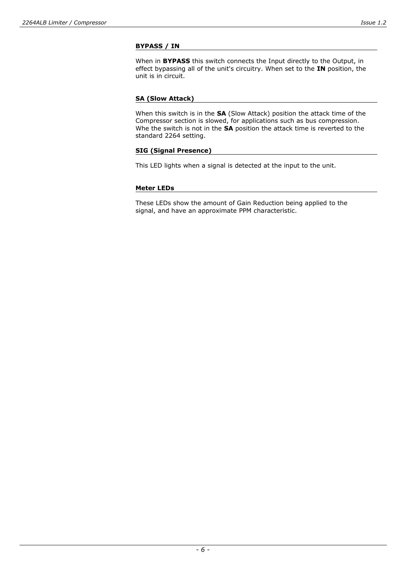#### **BYPASS / IN**

When in **BYPASS** this switch connects the Input directly to the Output, in effect bypassing all of the unit's circuitry. When set to the **IN** position, the unit is in circuit.

#### **SA (Slow Attack)**

When this switch is in the **SA** (Slow Attack) position the attack time of the Compressor section is slowed, for applications such as bus compression. Whe the switch is not in the **SA** position the attack time is reverted to the standard 2264 setting.

#### **SIG (Signal Presence)**

This LED lights when a signal is detected at the input to the unit.

#### **Meter LEDs**

These LEDs show the amount of Gain Reduction being applied to the signal, and have an approximate PPM characteristic.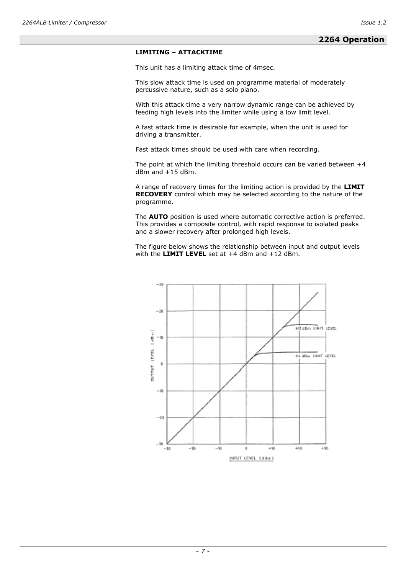#### **2264 Operation**

#### **LIMITING – ATTACKTIME**

This unit has a limiting attack time of 4msec.

This slow attack time is used on programme material of moderately percussive nature, such as a solo piano.

With this attack time a very narrow dynamic range can be achieved by feeding high levels into the limiter while using a low limit level.

A fast attack time is desirable for example, when the unit is used for driving a transmitter.

Fast attack times should be used with care when recording.

The point at which the limiting threshold occurs can be varied between  $+4$ dBm and +15 dBm.

A range of recovery times for the limiting action is provided by the **LIMIT RECOVERY** control which may be selected according to the nature of the programme.

The **AUTO** position is used where automatic corrective action is preferred. This provides a composite control, with rapid response to isolated peaks and a slower recovery after prolonged high levels.

The figure below shows the relationship between input and output levels with the **LIMIT LEVEL** set at +4 dBm and +12 dBm.

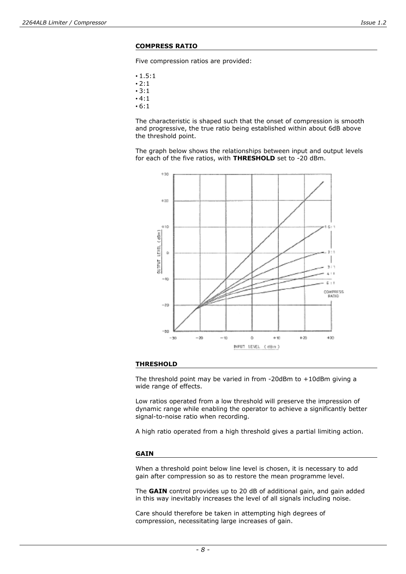#### **COMPRESS RATIO**

Five compression ratios are provided:

- 1.5:1
- $2:1$
- 3:1
- $4:1$ • 6:1
- 

The characteristic is shaped such that the onset of compression is smooth and progressive, the true ratio being established within about 6dB above the threshold point.

The graph below shows the relationships between input and output levels for each of the five ratios, with **THRESHOLD** set to -20 dBm.



#### **THRESHOLD**

The threshold point may be varied in from -20dBm to +10dBm giving a wide range of effects.

Low ratios operated from a low threshold will preserve the impression of dynamic range while enabling the operator to achieve a significantly better signal-to-noise ratio when recording.

A high ratio operated from a high threshold gives a partial limiting action.

#### **GAIN**

When a threshold point below line level is chosen, it is necessary to add gain after compression so as to restore the mean programme level.

The **GAIN** control provides up to 20 dB of additional gain, and gain added in this way inevitably increases the level of all signals including noise.

Care should therefore be taken in attempting high degrees of compression, necessitating large increases of gain.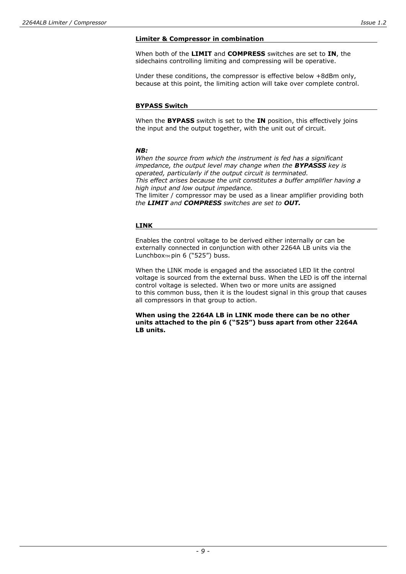When both of the **LIMIT** and **COMPRESS** switches are set to **IN**, the sidechains controlling limiting and compressing will be operative.

Under these conditions, the compressor is effective below +8dBm only, because at this point, the limiting action will take over complete control.

#### **BYPASS Switch**

When the **BYPASS** switch is set to the **IN** position, this effectively joins the input and the output together, with the unit out of circuit.

#### *NB:*

*When the source from which the instrument is fed has a significant impedance, the output level may change when the BYPASSS key is operated, particularly if the output circuit is terminated. This effect arises because the unit constitutes a buffer amplifier having a high input and low output impedance.*  The limiter / compressor may be used as a linear amplifier providing both *the LIMIT and COMPRESS switches are set to OUT.* 

#### **LINK**

Enables the control voltage to be derived either internally or can be externally connected in conjunction with other 2264A LB units via the Lunchbox™ pin 6 ("525") buss.

When the LINK mode is engaged and the associated LED lit the control voltage is sourced from the external buss. When the LED is off the internal control voltage is selected. When two or more units are assigned to this common buss, then it is the loudest signal in this group that causes all compressors in that group to action.

**When using the 2264A LB in LINK mode there can be no other units attached to the pin 6 ("525") buss apart from other 2264A LB units.**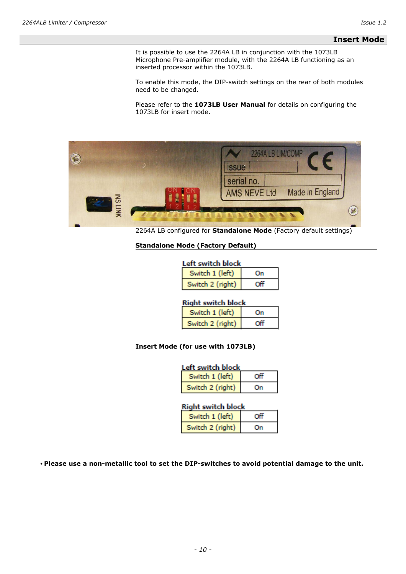#### **Insert Mode**

It is possible to use the 2264A LB in conjunction with the 1073LB Microphone Pre-amplifier module, with the 2264A LB functioning as an inserted processor within the 1073LB.

To enable this mode, the DIP-switch settings on the rear of both modules need to be changed.

Please refer to the **1073LB User Manual** for details on configuring the 1073LB for insert mode.



2264A LB configured for **Standalone Mode** (Factory default settings)

#### **Standalone Mode (Factory Default)**

| Left switch block |    |
|-------------------|----|
| Switch 1 (left)   | On |
| Switch 2 (right)  |    |

#### **Right switch block**

| Switch 1 (left)  | Ωn |
|------------------|----|
| Switch 2 (right) | ΩĤ |

#### **Insert Mode (for use with 1073LB)**

| Left switch block |    |
|-------------------|----|
| Switch 1 (left)   |    |
| Switch 2 (right)  | Ωn |

#### **Right switch block**

| Switch 1 (left)  |  |
|------------------|--|
| Switch 2 (right) |  |

**• Please use a non-metallic tool to set the DIP-switches to avoid potential damage to the unit.**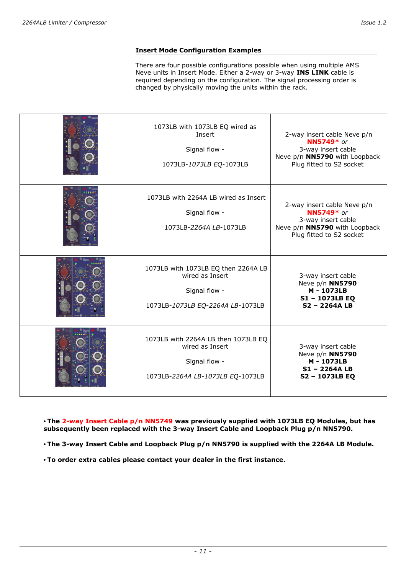#### **Insert Mode Configuration Examples**

There are four possible configurations possible when using multiple AMS Neve units in Insert Mode. Either a 2-way or 3-way **INS LINK** cable is required depending on the configuration. The signal processing order is changed by physically moving the units within the rack.

| 1073LB with 1073LB EQ wired as<br>Insert<br>Signal flow -<br>1073LB-1073LB EQ-1073LB                        | 2-way insert cable Neve p/n<br><b>NN5749</b> * or<br>3-way insert cable<br>Neve p/n NN5790 with Loopback<br>Plug fitted to S2 socket |
|-------------------------------------------------------------------------------------------------------------|--------------------------------------------------------------------------------------------------------------------------------------|
| 1073LB with 2264A LB wired as Insert<br>Signal flow -<br>1073LB-2264A LB-1073LB                             | 2-way insert cable Neve p/n<br><b>NN5749</b> * or<br>3-way insert cable<br>Neve p/n NN5790 with Loopback<br>Plug fitted to S2 socket |
| 1073LB with 1073LB EQ then 2264A LB<br>wired as Insert<br>Signal flow -<br>1073LB-1073LB EQ-2264A LB-1073LB | 3-way insert cable<br>Neve p/n NN5790<br>M - 1073LB<br>S1-1073LB EQ<br>$S2 - 2264A LB$                                               |
| 1073LB with 2264A LB then 1073LB EQ<br>wired as Insert<br>Signal flow -<br>1073LB-2264A LB-1073LB EQ-1073LB | 3-way insert cable<br>Neve p/n NN5790<br>M - 1073LB<br>S1-2264ALB<br>S2-1073LB EQ                                                    |

**• The 2-way Insert Cable p/n NN5749 was previously supplied with 1073LB EQ Modules, but has subsequently been replaced with the 3-way Insert Cable and Loopback Plug p/n NN5790.** 

**• The 3-way Insert Cable and Loopback Plug p/n NN5790 is supplied with the 2264A LB Module.** 

**• To order extra cables please contact your dealer in the first instance.**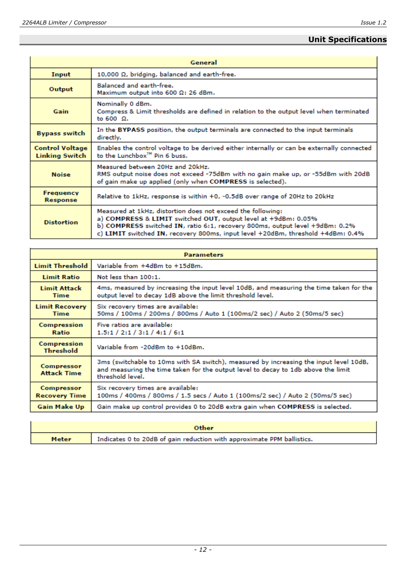### **Unit Specifications**

| General                                         |                                                                                                                                                                                                                                                                                                  |
|-------------------------------------------------|--------------------------------------------------------------------------------------------------------------------------------------------------------------------------------------------------------------------------------------------------------------------------------------------------|
| Input                                           | 10,000 $\Omega$ , bridging, balanced and earth-free.                                                                                                                                                                                                                                             |
| Output                                          | <b>Balanced and earth-free.</b><br>Maximum output into 600 Ω: 26 dBm.                                                                                                                                                                                                                            |
| Gain                                            | Nominally 0 dBm.<br>Compress & Limit thresholds are defined in relation to the output level when terminated<br>to $600o$ .                                                                                                                                                                       |
| <b>Bypass switch</b>                            | In the BYPASS position, the output terminals are connected to the input terminals<br>directly.                                                                                                                                                                                                   |
| <b>Control Voltage</b><br><b>Linking Switch</b> | Enables the control voltage to be derived either internally or can be externally connected<br>to the Lunchbox <sup>™</sup> Pin 6 buss.                                                                                                                                                           |
| <b>Noise</b>                                    | Measured between 20Hz and 20kHz.<br>RMS output noise does not exceed -75dBm with no gain make up, or -55dBm with 20dB<br>of gain make up applied (only when COMPRESS is selected).                                                                                                               |
| <b>Frequency</b><br>Response                    | Relative to 1kHz, response is within +0, -0.5dB over range of 20Hz to 20kHz                                                                                                                                                                                                                      |
| <b>Distortion</b>                               | Measured at 1kHz, distortion does not exceed the following:<br>a) COMPRESS & LIMIT switched OUT, output level at +9dBm: 0.05%<br>b) COMPRESS switched IN, ratio 6:1, recovery 800ms, output level +9dBm: 0.2%<br>c) LIMIT switched IN, recovery 800ms, input level +20dBm, threshold +4dBm: 0.4% |

| <b>Parameters</b>                    |                                                                                                                                                                                                |
|--------------------------------------|------------------------------------------------------------------------------------------------------------------------------------------------------------------------------------------------|
| <b>Limit Threshold</b>               | Variable from +4dBm to +15dBm.                                                                                                                                                                 |
| <b>Limit Ratio</b>                   | Not less than 100:1.                                                                                                                                                                           |
| <b>Limit Attack</b><br><b>Time</b>   | 4ms, measured by increasing the input level 10dB, and measuring the time taken for the<br>output level to decay 1dB above the limit threshold level.                                           |
| <b>Limit Recovery</b><br><b>Time</b> | Six recovery times are available:<br>50ms / 100ms / 200ms / 800ms / Auto 1 (100ms/2 sec) / Auto 2 (50ms/5 sec)                                                                                 |
| Compression<br>Ratio                 | Five ratios are available:<br>1.5:1 / 2:1 / 3:1 / 4:1 / 6:1                                                                                                                                    |
| Compression<br><b>Threshold</b>      | Variable from -20dBm to +10dBm.                                                                                                                                                                |
| Compressor<br><b>Attack Time</b>     | 3ms (switchable to 10ms with SA switch), measured by increasing the input level 10dB,<br>and measuring the time taken for the output level to decay to 1db above the limit<br>threshold level. |
| Compressor<br><b>Recovery Time</b>   | Six recovery times are available:<br>100ms / 400ms / 800ms / 1.5 secs / Auto 1 (100ms/2 sec) / Auto 2 (50ms/5 sec)                                                                             |
| Gain Make Up                         | Gain make up control provides 0 to 20dB extra gain when COMPRESS is selected.                                                                                                                  |

| Other |                                                                        |
|-------|------------------------------------------------------------------------|
| Meter | Indicates 0 to 20dB of gain reduction with approximate PPM ballistics. |